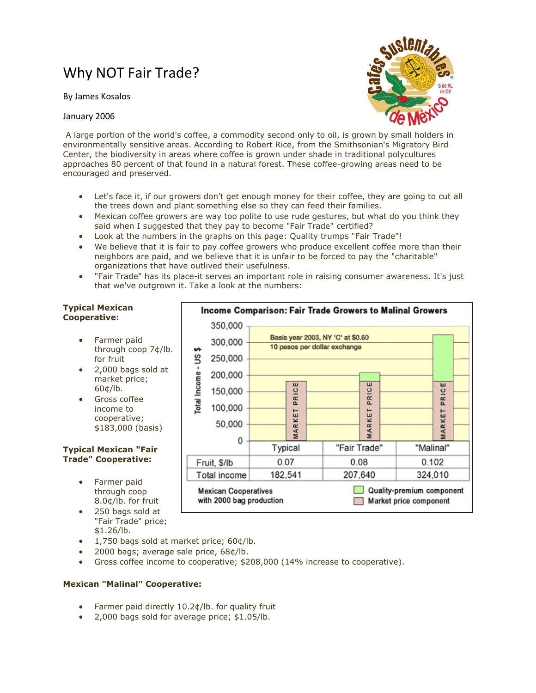# Why NOT Fair Trade?

By James Kosalos

## January 2006



A large portion of the world's coffee, a commodity second only to oil, is grown by small holders in environmentally sensitive areas. According to Robert Rice, from the Smithsonian's Migratory Bird Center, the biodiversity in areas where coffee is grown under shade in traditional polycultures approaches 80 percent of that found in a natural forest. These coffee-growing areas need to be encouraged and preserved.

- Let's face it, if our growers don't get enough money for their coffee, they are going to cut all the trees down and plant something else so they can feed their families.
- Mexican coffee growers are way too polite to use rude gestures, but what do you think they said when I suggested that they pay to become "Fair Trade" certified?
- Look at the numbers in the graphs on this page: Quality trumps "Fair Trade"!
- We believe that it is fair to pay coffee growers who produce excellent coffee more than their neighbors are paid, and we believe that it is unfair to be forced to pay the "charitable" organizations that have outlived their usefulness.
- "Fair Trade" has its place-it serves an important role in raising consumer awareness. It's just that we've outgrown it. Take a look at the numbers:

### **Typical Mexican Cooperative:**

- Farmer paid through coop 7¢/lb. for fruit
- 2,000 bags sold at market price; 60¢/lb.
- Gross coffee income to cooperative; \$183,000 (basis)

### **Typical Mexican "Fair Trade" Cooperative:**

- Farmer paid through coop 8.0¢/lb. for fruit
- 250 bags sold at "Fair Trade" price; \$1.26/lb.
- $\bullet$  1,750 bags sold at market price; 60¢/lb.
- 2000 bags; average sale price, 68¢/lb.
- Gross coffee income to cooperative; \$208,000 (14% increase to cooperative).

### **Mexican "Malinal" Cooperative:**

- Farmer paid directly 10.2¢/lb. for quality fruit
- 2,000 bags sold for average price; \$1.05/lb.

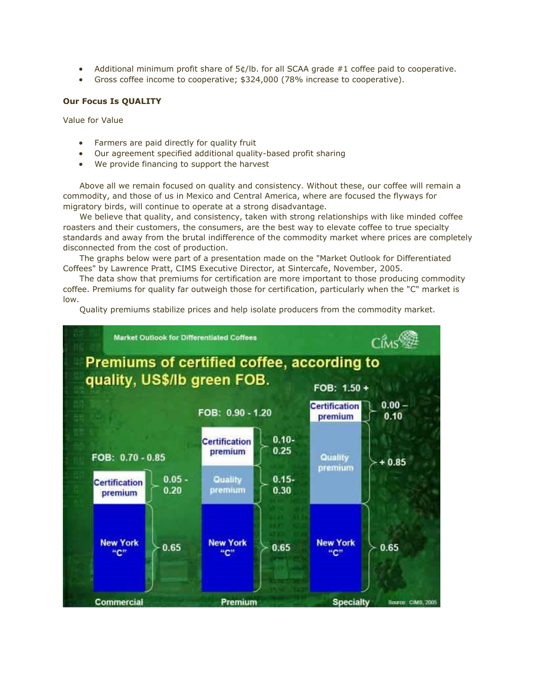- Additional minimum profit share of 5¢/lb. for all SCAA grade #1 coffee paid to cooperative.
- Gross coffee income to cooperative; \$324,000 (78% increase to cooperative).

#### **Our Focus Is QUALITY**

Value for Value

- Farmers are paid directly for quality fruit
- Our agreement specified additional quality-based profit sharing
- We provide financing to support the harvest

Above all we remain focused on quality and consistency. Without these, our coffee will remain a commodity, and those of us in Mexico and Central America, where are focused the flyways for migratory birds, will continue to operate at a strong disadvantage.

We believe that quality, and consistency, taken with strong relationships with like minded coffee roasters and their customers, the consumers, are the best way to elevate coffee to true specialty standards and away from the brutal indifference of the commodity market where prices are completely disconnected from the cost of production.

The graphs below were part of a presentation made on the "Market Outlook for Differentiated Coffees" by Lawrence Pratt, CIMS Executive Director, at Sintercafe, November, 2005.

The data show that premiums for certification are more important to those producing commodity coffee. Premiums for quality far outweigh those for certification, particularly when the "C" market is low.

Quality premiums stabilize prices and help isolate producers from the commodity market.